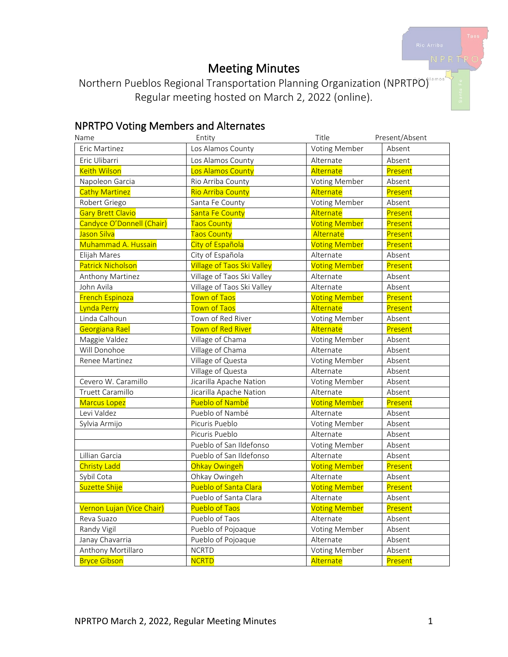# Meeting Minutes

Northern Pueblos Regional Transportation Planning Organization (NPRTPO) Regular meeting hosted on March 2, 2022 (online).

## NPRTPO Voting Members and Alternates

| Name                      | Entity                            | Title                | Present/Absent |
|---------------------------|-----------------------------------|----------------------|----------------|
| Eric Martinez             | Los Alamos County                 | Voting Member        | Absent         |
| Eric Ulibarri             | Los Alamos County                 | Alternate            | Absent         |
| <b>Keith Wilson</b>       | Los Alamos County                 | Alternate            | Present        |
| Napoleon Garcia           | Rio Arriba County                 | Voting Member        | Absent         |
| <b>Cathy Martinez</b>     | <b>Rio Arriba County</b>          | Alternate            | Present        |
| Robert Griego             | Santa Fe County                   | Voting Member        | Absent         |
| <b>Gary Brett Clavio</b>  | Santa Fe County                   | Alternate            | Present        |
| Candyce O'Donnell (Chair) | <b>Taos County</b>                | <b>Voting Member</b> | Present        |
| Jason Silva               | <b>Taos County</b>                | Alternate            | Present        |
| Muhammad A. Hussain       | City of Española                  | <b>Voting Member</b> | Present        |
| Elijah Mares              | City of Española                  | Alternate            | Absent         |
| <b>Patrick Nicholson</b>  | <b>Village of Taos Ski Valley</b> | <b>Voting Member</b> | Present        |
| Anthony Martinez          | Village of Taos Ski Valley        | Alternate            | Absent         |
| John Avila                | Village of Taos Ski Valley        | Alternate            | Absent         |
| <b>French Espinoza</b>    | <b>Town of Taos</b>               | <b>Voting Member</b> | Present        |
| Lynda Perry               | <b>Town of Taos</b>               | Alternate            | Present        |
| Linda Calhoun             | Town of Red River                 | Voting Member        | Absent         |
| Georgiana Rael            | Town of Red River                 | Alternate            | Present        |
| Maggie Valdez             | Village of Chama                  | Voting Member        | Absent         |
| Will Donohoe              | Village of Chama                  | Alternate            | Absent         |
| Renee Martinez            | Village of Questa                 | Voting Member        | Absent         |
|                           | Village of Questa                 | Alternate            | Absent         |
| Cevero W. Caramillo       | Jicarilla Apache Nation           | Voting Member        | Absent         |
| Truett Caramillo          | Jicarilla Apache Nation           | Alternate            | Absent         |
| <b>Marcus Lopez</b>       | Pueblo of Nambé                   | <b>Voting Member</b> | Present        |
| Levi Valdez               | Pueblo of Nambé                   | Alternate            | Absent         |
| Sylvia Armijo             | Picuris Pueblo                    | Voting Member        | Absent         |
|                           | Picuris Pueblo                    | Alternate            | Absent         |
|                           | Pueblo of San Ildefonso           | Voting Member        | Absent         |
| Lillian Garcia            | Pueblo of San Ildefonso           | Alternate            | Absent         |
| <b>Christy Ladd</b>       | Ohkay Owingeh                     | <b>Voting Member</b> | Present        |
| Sybil Cota                | Ohkay Owingeh                     | Alternate            | Absent         |
| Suzette Shije             | Pueblo of Santa Clara             | <b>Voting Member</b> | Present        |
|                           | Pueblo of Santa Clara             | Alternate            | Absent         |
| Vernon Lujan (Vice Chair) | Pueblo of Taos                    | <b>Voting Member</b> | Present        |
| Reva Suazo                | Pueblo of Taos                    | Alternate            | Absent         |
| Randy Vigil               | Pueblo of Pojoaque                | Voting Member        | Absent         |
| Janay Chavarria           | Pueblo of Pojoaque                | Alternate            | Absent         |
| Anthony Mortillaro        | <b>NCRTD</b>                      | Voting Member        | Absent         |
| <b>Bryce Gibson</b>       | <b>NCRTD</b>                      | Alternate            | Present        |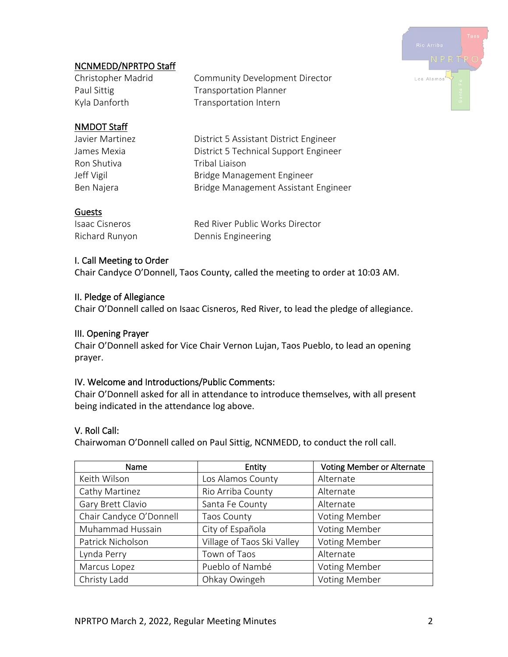

## NCNMEDD/NPRTPO Staff

Christopher Madrid Community Development Director Paul Sittig Transportation Planner Kyla Danforth Transportation Intern

## NMDOT Staff

Ron Shutiva **Tribal Liaison** 

Javier Martinez District 5 Assistant District Engineer James Mexia District 5 Technical Support Engineer Jeff Vigil **Bridge Management Engineer** Ben Najera Bridge Management Assistant Engineer

## Guests

| <b>Isaac Cisneros</b> | Red River Public Works Director |
|-----------------------|---------------------------------|
| Richard Runyon        | Dennis Engineering              |

## I. Call Meeting to Order

Chair Candyce O'Donnell, Taos County, called the meeting to order at 10:03 AM.

## II. Pledge of Allegiance

Chair O'Donnell called on Isaac Cisneros, Red River, to lead the pledge of allegiance.

### III. Opening Prayer

Chair O'Donnell asked for Vice Chair Vernon Lujan, Taos Pueblo, to lead an opening prayer.

#### IV. Welcome and Introductions/Public Comments:

Chair O'Donnell asked for all in attendance to introduce themselves, with all present being indicated in the attendance log above.

## V. Roll Call:

Chairwoman O'Donnell called on Paul Sittig, NCNMEDD, to conduct the roll call.

| Name                    | Entity                     | <b>Voting Member or Alternate</b> |
|-------------------------|----------------------------|-----------------------------------|
| Keith Wilson            | Los Alamos County          | Alternate                         |
| Cathy Martinez          | Rio Arriba County          | Alternate                         |
| Gary Brett Clavio       | Santa Fe County            | Alternate                         |
| Chair Candyce O'Donnell | Taos County                | <b>Voting Member</b>              |
| Muhammad Hussain        | City of Española           | <b>Voting Member</b>              |
| Patrick Nicholson       | Village of Taos Ski Valley | <b>Voting Member</b>              |
| Lynda Perry             | Town of Taos               | Alternate                         |
| Marcus Lopez            | Pueblo of Nambé            | <b>Voting Member</b>              |
| Christy Ladd            | Ohkay Owingeh              | <b>Voting Member</b>              |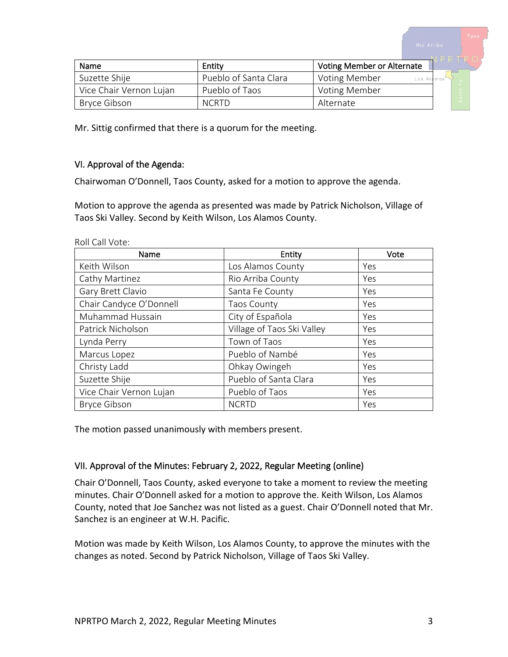| Name                    | Entity                | <b>Voting Member or Alternate</b>  |  |
|-------------------------|-----------------------|------------------------------------|--|
| Suzette Shije           | Pueblo of Santa Clara | <b>Voting Member</b><br>Los Alamos |  |
| Vice Chair Vernon Lujan | Pueblo of Taos        | Voting Member                      |  |
| Bryce Gibson            | <b>NCRTD</b>          | Alternate                          |  |

Mr. Sittig confirmed that there is a quorum for the meeting.

#### VI. Approval of the Agenda:

Chairwoman O'Donnell, Taos County, asked for a motion to approve the agenda.

Motion to approve the agenda as presented was made by Patrick Nicholson, Village of Taos Ski Valley. Second by Keith Wilson, Los Alamos County.

| Name                    | Entity                     | Vote |
|-------------------------|----------------------------|------|
| Keith Wilson            | Los Alamos County          | Yes  |
| Cathy Martinez          | Rio Arriba County          | Yes  |
| Gary Brett Clavio       | Santa Fe County            | Yes  |
| Chair Candyce O'Donnell | <b>Taos County</b>         | Yes  |
| Muhammad Hussain        | City of Española           | Yes  |
| Patrick Nicholson       | Village of Taos Ski Valley | Yes  |
| Lynda Perry             | Town of Taos               | Yes  |
| Marcus Lopez            | Pueblo of Nambé            | Yes  |
| Christy Ladd            | Ohkay Owingeh              | Yes  |
| Suzette Shije           | Pueblo of Santa Clara      | Yes  |
| Vice Chair Vernon Lujan | Pueblo of Taos             | Yes  |
| <b>Bryce Gibson</b>     | <b>NCRTD</b>               | Yes  |

The motion passed unanimously with members present.

#### VII. Approval of the Minutes: February 2, 2022, Regular Meeting (online)

Chair O'Donnell, Taos County, asked everyone to take a moment to review the meeting minutes. Chair O'Donnell asked for a motion to approve the. Keith Wilson, Los Alamos County, noted that Joe Sanchez was not listed as a guest. Chair O'Donnell noted that Mr. Sanchez is an engineer at W.H. Pacific.

Motion was made by Keith Wilson, Los Alamos County, to approve the minutes with the changes as noted. Second by Patrick Nicholson, Village of Taos Ski Valley.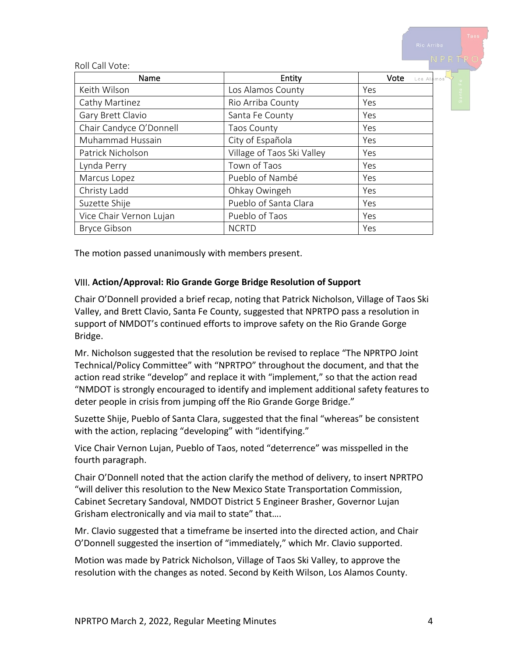|                         |                            | Rio Arriba         |
|-------------------------|----------------------------|--------------------|
| Roll Call Vote:         |                            | NPRTRO             |
| Name                    | Entity                     | Vote<br>Los Alamos |
| Keith Wilson            | Los Alamos County          | Yes                |
| Cathy Martinez          | Rio Arriba County          | ø.<br>Yes          |
| Gary Brett Clavio       | Santa Fe County            | Yes                |
| Chair Candyce O'Donnell | <b>Taos County</b>         | Yes                |
| Muhammad Hussain        | City of Española           | Yes                |
| Patrick Nicholson       | Village of Taos Ski Valley | Yes                |
| Lynda Perry             | Town of Taos               | Yes                |
| Marcus Lopez            | Pueblo of Nambé            | Yes                |
| Christy Ladd            | Ohkay Owingeh              | Yes                |
| Suzette Shije           | Pueblo of Santa Clara      | Yes                |
| Vice Chair Vernon Lujan | Pueblo of Taos             | Yes                |
| <b>Bryce Gibson</b>     | <b>NCRTD</b>               | Yes                |

The motion passed unanimously with members present.

#### VIII. **Action/Approval: Rio Grande Gorge Bridge Resolution of Support**

Chair O'Donnell provided a brief recap, noting that Patrick Nicholson, Village of Taos Ski Valley, and Brett Clavio, Santa Fe County, suggested that NPRTPO pass a resolution in support of NMDOT's continued efforts to improve safety on the Rio Grande Gorge Bridge.

Mr. Nicholson suggested that the resolution be revised to replace "The NPRTPO Joint Technical/Policy Committee" with "NPRTPO" throughout the document, and that the action read strike "develop" and replace it with "implement," so that the action read "NMDOT is strongly encouraged to identify and implement additional safety features to deter people in crisis from jumping off the Rio Grande Gorge Bridge."

Suzette Shije, Pueblo of Santa Clara, suggested that the final "whereas" be consistent with the action, replacing "developing" with "identifying."

Vice Chair Vernon Lujan, Pueblo of Taos, noted "deterrence" was misspelled in the fourth paragraph.

Chair O'Donnell noted that the action clarify the method of delivery, to insert NPRTPO "will deliver this resolution to the New Mexico State Transportation Commission, Cabinet Secretary Sandoval, NMDOT District 5 Engineer Brasher, Governor Lujan Grisham electronically and via mail to state" that….

Mr. Clavio suggested that a timeframe be inserted into the directed action, and Chair O'Donnell suggested the insertion of "immediately," which Mr. Clavio supported.

Motion was made by Patrick Nicholson, Village of Taos Ski Valley, to approve the resolution with the changes as noted. Second by Keith Wilson, Los Alamos County.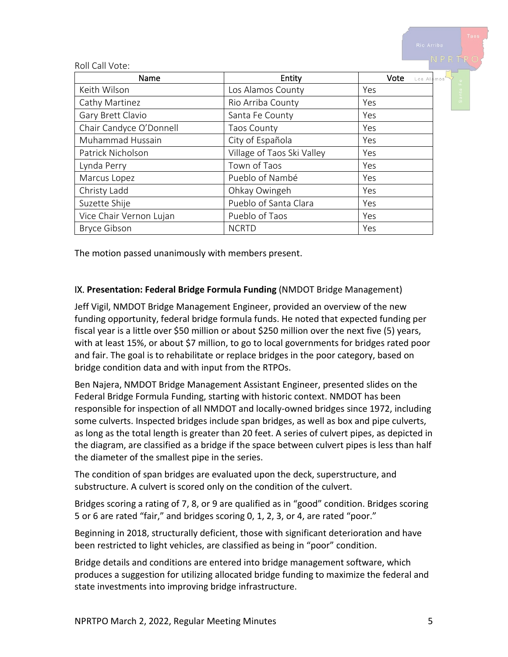|                         |                            | Rio Arriba         |
|-------------------------|----------------------------|--------------------|
| Roll Call Vote:         |                            | NPRTRO             |
| Name                    | Entity                     | Vote<br>Los Alamos |
| Keith Wilson            | Los Alamos County          | Yes                |
| Cathy Martinez          | Rio Arriba County          | $\omega$<br>Yes    |
| Gary Brett Clavio       | Santa Fe County            | Yes                |
| Chair Candyce O'Donnell | Taos County                | Yes                |
| Muhammad Hussain        | City of Española           | Yes                |
| Patrick Nicholson       | Village of Taos Ski Valley | Yes                |
| Lynda Perry             | Town of Taos               | Yes                |
| Marcus Lopez            | Pueblo of Nambé            | Yes                |
| Christy Ladd            | Ohkay Owingeh              | Yes                |
| Suzette Shije           | Pueblo of Santa Clara      | Yes                |
| Vice Chair Vernon Lujan | Pueblo of Taos             | Yes                |
| <b>Bryce Gibson</b>     | <b>NCRTD</b>               | Yes                |

The motion passed unanimously with members present.

#### IX. **Presentation: Federal Bridge Formula Funding** (NMDOT Bridge Management)

Jeff Vigil, NMDOT Bridge Management Engineer, provided an overview of the new funding opportunity, federal bridge formula funds. He noted that expected funding per fiscal year is a little over \$50 million or about \$250 million over the next five (5) years, with at least 15%, or about \$7 million, to go to local governments for bridges rated poor and fair. The goal is to rehabilitate or replace bridges in the poor category, based on bridge condition data and with input from the RTPOs.

Ben Najera, NMDOT Bridge Management Assistant Engineer, presented slides on the Federal Bridge Formula Funding, starting with historic context. NMDOT has been responsible for inspection of all NMDOT and locally-owned bridges since 1972, including some culverts. Inspected bridges include span bridges, as well as box and pipe culverts, as long as the total length is greater than 20 feet. A series of culvert pipes, as depicted in the diagram, are classified as a bridge if the space between culvert pipes is less than half the diameter of the smallest pipe in the series.

The condition of span bridges are evaluated upon the deck, superstructure, and substructure. A culvert is scored only on the condition of the culvert.

Bridges scoring a rating of 7, 8, or 9 are qualified as in "good" condition. Bridges scoring 5 or 6 are rated "fair," and bridges scoring 0, 1, 2, 3, or 4, are rated "poor."

Beginning in 2018, structurally deficient, those with significant deterioration and have been restricted to light vehicles, are classified as being in "poor" condition.

Bridge details and conditions are entered into bridge management software, which produces a suggestion for utilizing allocated bridge funding to maximize the federal and state investments into improving bridge infrastructure.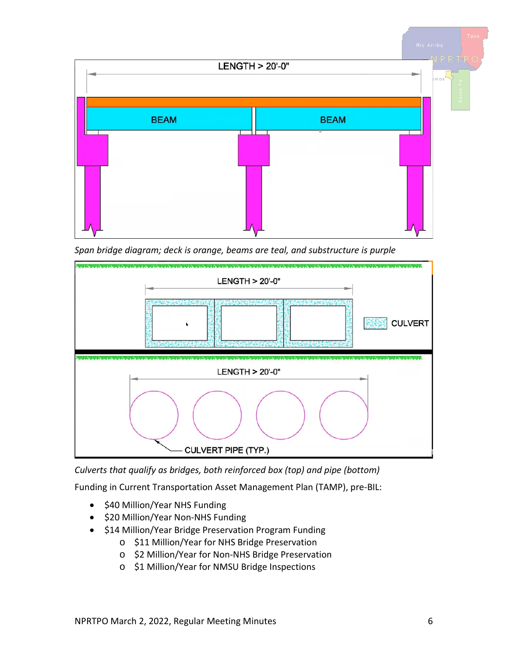

*Span bridge diagram; deck is orange, beams are teal, and substructure is purple*



*Culverts that qualify as bridges, both reinforced box (top) and pipe (bottom)*

Funding in Current Transportation Asset Management Plan (TAMP), pre-BIL:

- \$40 Million/Year NHS Funding
- \$20 Million/Year Non-NHS Funding
- \$14 Million/Year Bridge Preservation Program Funding
	- o \$11 Million/Year for NHS Bridge Preservation
	- o \$2 Million/Year for Non-NHS Bridge Preservation
	- o \$1 Million/Year for NMSU Bridge Inspections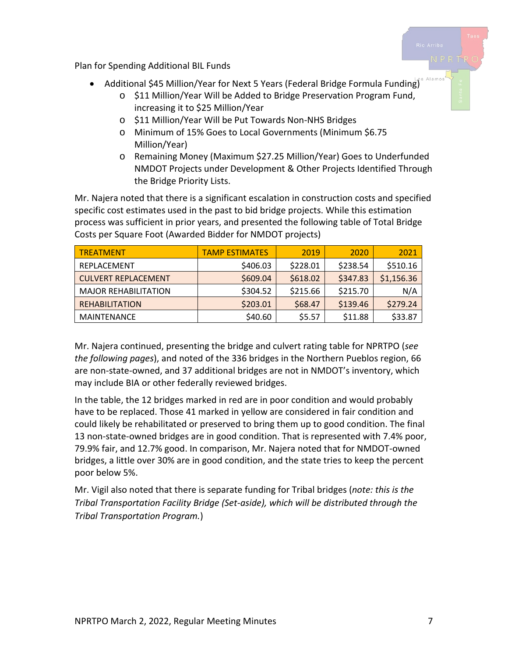Plan for Spending Additional BIL Funds

- Additional \$45 Million/Year for Next 5 Years (Federal Bridge Formula Funding)
	- o \$11 Million/Year Will be Added to Bridge Preservation Program Fund, increasing it to \$25 Million/Year
	- o \$11 Million/Year Will be Put Towards Non-NHS Bridges
	- o Minimum of 15% Goes to Local Governments (Minimum \$6.75 Million/Year)
	- o Remaining Money (Maximum \$27.25 Million/Year) Goes to Underfunded NMDOT Projects under Development & Other Projects Identified Through the Bridge Priority Lists.

Mr. Najera noted that there is a significant escalation in construction costs and specified specific cost estimates used in the past to bid bridge projects. While this estimation process was sufficient in prior years, and presented the following table of Total Bridge Costs per Square Foot (Awarded Bidder for NMDOT projects)

| <b>TREATMENT</b>            | <b>TAMP ESTIMATES</b> | 2019     | 2020     | 2021       |
|-----------------------------|-----------------------|----------|----------|------------|
| REPLACEMENT                 | \$406.03              | \$228.01 | \$238.54 | \$510.16   |
| CULVERT REPLACEMENT         | \$609.04              | \$618.02 | \$347.83 | \$1,156.36 |
| <b>MAJOR REHABILITATION</b> | \$304.52              | \$215.66 | \$215.70 | N/A        |
| <b>REHABILITATION</b>       | \$203.01              | \$68.47  | \$139.46 | \$279.24   |
| <b>MAINTENANCE</b>          | \$40.60               | \$5.57   | \$11.88  | \$33.87    |

Mr. Najera continued, presenting the bridge and culvert rating table for NPRTPO (*see the following pages*), and noted of the 336 bridges in the Northern Pueblos region, 66 are non-state-owned, and 37 additional bridges are not in NMDOT's inventory, which may include BIA or other federally reviewed bridges.

In the table, the 12 bridges marked in red are in poor condition and would probably have to be replaced. Those 41 marked in yellow are considered in fair condition and could likely be rehabilitated or preserved to bring them up to good condition. The final 13 non-state-owned bridges are in good condition. That is represented with 7.4% poor, 79.9% fair, and 12.7% good. In comparison, Mr. Najera noted that for NMDOT-owned bridges, a little over 30% are in good condition, and the state tries to keep the percent poor below 5%.

Mr. Vigil also noted that there is separate funding for Tribal bridges (*note: this is the Tribal Transportation Facility Bridge (Set-aside), which will be distributed through the Tribal Transportation Program.*)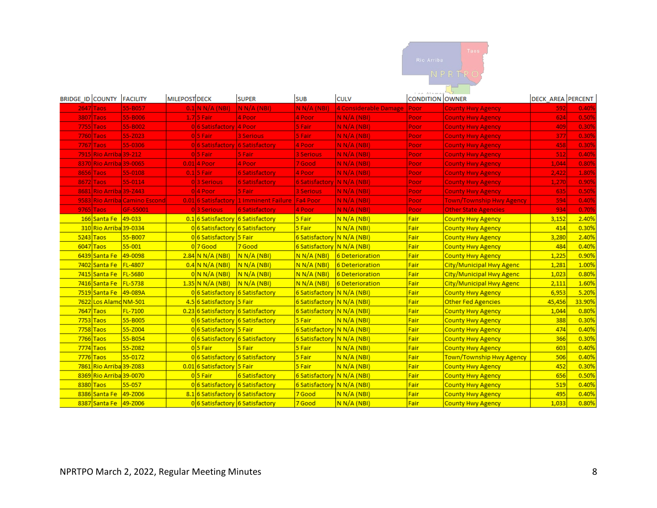

| <b>BRIDGE ID COUNTY FACILITY</b> |                         |                               | <b>MILEPOST DECK</b> |                                    | <b>SUPER</b>                                      | <b>SUB</b>                   | <b>CULV</b>           | <b>CONDITION OWNER</b> |                                 | <b>DECK AREA PERCENT</b> |        |
|----------------------------------|-------------------------|-------------------------------|----------------------|------------------------------------|---------------------------------------------------|------------------------------|-----------------------|------------------------|---------------------------------|--------------------------|--------|
|                                  | $2647$ Taos             | 55-B057                       |                      | $0.1$ N N/A (NBI)                  | N N/A (NBI)                                       | N N/A (NBI)                  | 4 Considerable Damage | Poor                   | <b>County Hwy Agency</b>        | 592                      | 0.40%  |
|                                  | 3807 Taos               | 55-B006                       |                      | $1.7$ 5 Fair                       | 4 Poor                                            | 4 Poor                       | N N/A (NBI)           | Poor <sub>,</sub>      | <b>County Hwy Agency</b>        | 624                      | 0.50%  |
|                                  | 7755 Taos               | 55-B002                       |                      | 0 6 Satisfactory 4 Poor            |                                                   | 5 Fair                       | N N/A (NBI)           | Poor                   | <b>County Hwy Agency</b>        | 409                      | 0.30%  |
|                                  | 7760 Taos               | 55-Z023                       |                      | 015 Fair                           | 3 Serious                                         | 5 Fair                       | N N/A (NBI)           | Poor                   | <b>County Hwy Agency</b>        | 377                      | 0.30%  |
|                                  | 7767 Taos               | 55-0306                       |                      | 0 6 Satisfactory 6 Satisfactory    |                                                   | 4 Poor                       | N N/A (NBI)           | Poor                   | <b>County Hwy Agency</b>        | 458                      | 0.30%  |
|                                  | 7915 Rio Arriba 39-212  |                               |                      | 05 Fair                            | 5 Fair                                            | <b>3 Serious</b>             | N N/A (NBI)           | Poor                   | <b>County Hwy Agency</b>        | 512                      | 0.40%  |
|                                  | 8370 Rio Arriba 39-0065 |                               |                      | $0.01$ 4 Poor                      | 4 Poor                                            | 7 Good                       | N N/A (NBI)           | Poor                   | <b>County Hwy Agency</b>        | 1,044                    | 0.80%  |
|                                  | 8656 Taos               | 55-0108                       |                      | $0.1$ 5 Fair                       | <b>6 Satisfactory</b>                             | 4 Poor                       | N N/A (NBI)           | Poor                   | <b>County Hwy Agency</b>        | 2,422                    | 1.80%  |
|                                  | 8672 Taos               | 55-0114                       |                      | 03 Serious                         | <b>6 Satisfactory</b>                             | 6 Satisfactory   N N/A (NBI) |                       | Poor                   | <b>County Hwy Agency</b>        | 1,270                    | 0.90%  |
|                                  | 8681 Rio Arriba 39-Z443 |                               |                      | 04 Poor                            | 5 Fair                                            | <b>3 Serious</b>             | N N/A (NB)            | Poor                   | <b>County Hwy Agency</b>        | 635                      | 0.50%  |
|                                  |                         | 9583 Rio Arriba Camino Escond |                      |                                    | 0.01 6 Satisfactory 1 Imminent Failure   Fa4 Poor |                              | N N/A (NBI)           | Poor                   | <b>Town/Township Hwy Agency</b> | 594                      | 0.40%  |
|                                  | $9765$ Taos             | GF-55001                      |                      | 03 Serious                         | <b>6 Satisfactory</b>                             | 4 Poor                       | N N/A (NBI)           | Poor                   | <b>Other State Agencies</b>     | 934                      | 0.70%  |
|                                  | 166 Santa Fe            | $49 - 033$                    |                      | 0.1 6 Satisfactory 6 Satisfactory  |                                                   | 5 Fair                       | N N/A (NBI)           | Fair                   | <b>County Hwy Agency</b>        | 3,152                    | 2.40%  |
|                                  | 310 Rio Arriba 39-0334  |                               |                      | 0 6 Satisfactory 6 Satisfactory    |                                                   | 5 Fair                       | N N/A (NBI)           | Fair                   | <b>County Hwy Agency</b>        | 414                      | 0.30%  |
|                                  | $5243$ Taos             | 55-B007                       |                      | 0 6 Satisfactory 5 Fair            |                                                   | 6 Satisfactory N N/A (NBI)   |                       | Fair                   | <b>County Hwy Agency</b>        | 3,280                    | 2.40%  |
|                                  | $6047$ Taos             | $55 - 001$                    |                      | 07Good                             | 7 Good                                            | 6 Satisfactory N N/A (NBI)   |                       | Fair                   | <b>County Hwy Agency</b>        | 484                      | 0.40%  |
|                                  | 6439 Santa Fe           | 49-0098                       |                      | $2.84 \text{ N N/A}$ (NBI)         | N N/A (NBI)                                       | N N/A (NBI)                  | 6 Deterioration       | Fair                   | <b>County Hwy Agency</b>        | 1,225                    | 0.90%  |
|                                  | 7402 Santa Fe           | FL-4807                       |                      | $0.4$ N N/A (NBI)                  | N N/A (NBI)                                       | N N/A (NBI)                  | 6 Deterioration       | Fair                   | City/Municipal Hwy Agenc        | 1,281                    | 1.00%  |
|                                  | 7415 Santa Fe           | FL-5680                       |                      | 0/N N/A (NBI)                      | N N/A (NBI)                                       | N N/A (NBI)                  | 6 Deterioration       | Fair                   | City/Municipal Hwy Agenc        | 1,023                    | 0.80%  |
|                                  | 7416 Santa Fe           | <b>FL-5738</b>                |                      | $1.35$ N N/A (NBI)                 | N N/A (NBI)                                       | N N/A (NB)                   | 6 Deterioration       | Fair                   | City/Municipal Hwy Agenc        | 2,111                    | 1.60%  |
|                                  | 7519 Santa Fe           | 49-089A                       |                      | 0 6 Satisfactory 6 Satisfactory    |                                                   | 6 Satisfactory N N/A (NBI)   |                       | Fair                   | <b>County Hwy Agency</b>        | 6,953                    | 5.20%  |
|                                  | 7622 Los Alamd NM-501   |                               |                      | 4.5 6 Satisfactory 5 Fair          |                                                   | 6 Satisfactory N N/A (NBI)   |                       | Fair                   | <b>Other Fed Agencies</b>       | 45,456                   | 33.90% |
|                                  | 7647 Taos               | FL-7100                       |                      | 0.23 6 Satisfactory 6 Satisfactory |                                                   | 6 Satisfactory   N N/A (NBI) |                       | Fair                   | <b>County Hwy Agency</b>        | 1,044                    | 0.80%  |
|                                  | 7753 Taos               | 55-B005                       |                      | 0 6 Satisfactory 6 Satisfactory    |                                                   | 5 Fair                       | N N/A (NBI)           | Fair                   | <b>County Hwy Agency</b>        | 388                      | 0.30%  |
|                                  | 7758 Taos               | 55-Z004                       |                      | 0 6 Satisfactory 5 Fair            |                                                   | 6 Satisfactory N N/A (NBI)   |                       | Fair                   | County Hwy Agency               | 474                      | 0.40%  |
|                                  | 7766 Taos               | 55-B054                       |                      | 0 6 Satisfactory 6 Satisfactory    |                                                   | 6 Satisfactory N N/A (NBI)   |                       | Fair                   | County Hwy Agency               | 366                      | 0.30%  |
|                                  | 7774 Taos               | 55-Z082                       |                      | 05 Fair                            | 5 Fair                                            | 5 Fair                       | N N/A (NBI)           | Fair                   | <b>County Hwy Agency</b>        | 603                      | 0.40%  |
|                                  | 7776 Taos               | 55-0172                       |                      | 0 6 Satisfactory 6 Satisfactory    |                                                   | 5 Fair                       | N N/A (NBI)           | Fair                   | Town/Township Hwy Agency        | 506                      | 0.40%  |
|                                  | 7861 Rio Arriba 39-Z083 |                               |                      | 0.01 6 Satisfactory 5 Fair         |                                                   | 5 Fair                       | N N/A (NBI)           | Fair                   | <b>County Hwy Agency</b>        | 452                      | 0.30%  |
|                                  | 8369 Rio Arriba 39-0070 |                               |                      | 05 Fair                            | 6 Satisfactory                                    | 6 Satisfactory N N/A (NBI)   |                       | Fair                   | <b>County Hwy Agency</b>        | 656                      | 0.50%  |
|                                  | 8380 Taos               | 55-057                        |                      | 0 6 Satisfactory 6 Satisfactory    |                                                   | 6 Satisfactory N N/A (NBI)   |                       | Fair                   | <b>County Hwy Agency</b>        | 519                      | 0.40%  |
|                                  | 8386 Santa Fe           | 49-Z006                       |                      | 8.1 6 Satisfactory 6 Satisfactory  |                                                   | 7 Good                       | N N/A (NBI)           | Fair                   | <b>County Hwy Agency</b>        | 495                      | 0.40%  |
|                                  | 8387 Santa Fe 49-Z006   |                               |                      | 0 6 Satisfactory 6 Satisfactory    |                                                   | 7 Good                       | N N/A (NBI)           | Fair                   | <b>County Hwy Agency</b>        | 1,033                    | 0.80%  |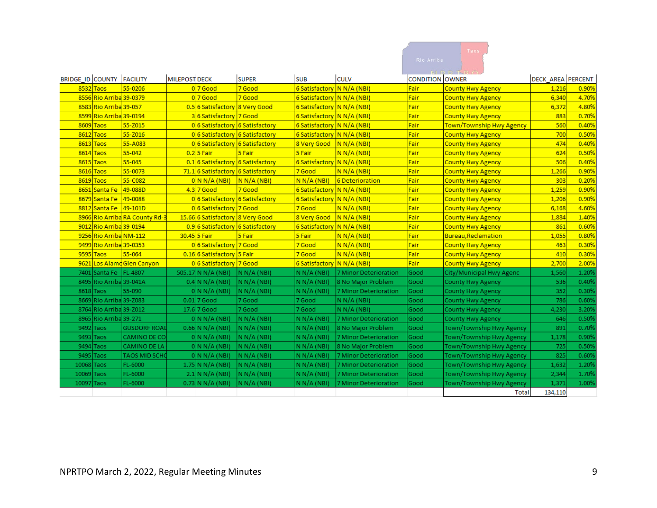|                                  |                         |                                |                      |                                    |                |                            |                       |                        | Taos                     |                          |       |
|----------------------------------|-------------------------|--------------------------------|----------------------|------------------------------------|----------------|----------------------------|-----------------------|------------------------|--------------------------|--------------------------|-------|
|                                  |                         |                                |                      |                                    |                |                            |                       | Rio Arriba             |                          |                          |       |
|                                  |                         |                                |                      |                                    |                |                            |                       |                        |                          |                          |       |
| <b>BRIDGE_ID COUNTY FACILITY</b> |                         |                                | <b>MILEPOST DECK</b> |                                    | <b>SUPER</b>   | <b>SUB</b>                 | <b>CULV</b>           | <b>CONDITION OWNER</b> |                          | <b>DECK AREA PERCENT</b> |       |
|                                  | 8532 Taos               | 55-0206                        |                      | $0$ 7 Good                         | 7 Good         | 6 Satisfactory N N/A (NBI) |                       | Fair                   | <b>County Hwy Agency</b> | 1,216                    | 0.90% |
|                                  | 8556 Rio Arriba 39-0379 |                                |                      | $017$ Good                         | 7 Good         | 6 Satisfactory N N/A (NBI) |                       | Fair                   | <b>County Hwy Agency</b> | 6,340                    | 4.70% |
|                                  | 8583 Rio Arriba 39-057  |                                |                      | 0.5 6 Satisfactory 8 Very Good     |                | 6 Satisfactory N N/A (NBI) |                       | Fair                   | <b>County Hwy Agency</b> | 6,372                    | 4.80% |
|                                  | 8599 Rio Arriba 39-0194 |                                |                      | 36 Satisfactory 7 Good             |                | 6 Satisfactory             | N N/A (NBI)           | Fair                   | <b>County Hwy Agency</b> | 883                      | 0.70% |
|                                  | 8609 Taos               | 55-Z015                        |                      | 0 6 Satisfactory 6 Satisfactory    |                | 6 Satisfactory             | N N/A (NBI)           | Fair                   | Town/Township Hwy Agency | 560                      | 0.40% |
|                                  | $8612$ Taos             | 55-Z016                        |                      | 0 6 Satisfactory 6 Satisfactory    |                | 6 Satisfactory             | N N/A (NBI)           | Fair                   | <b>County Hwy Agency</b> | 700                      | 0.50% |
|                                  | $8613$ Taos             | 55-A083                        |                      | 0 6 Satisfactory 6 Satisfactory    |                | 8 Very Good                | N N/A (NBI)           | Fair                   | <b>County Hwy Agency</b> | 474                      | 0.40% |
|                                  | 8614 Taos               | 55-042                         |                      | $0.2$ 5 Fair                       | 5 Fair         | 5 Fair                     | N N/A (NBI)           | Fair                   | <b>County Hwy Agency</b> | 624                      | 0.50% |
|                                  | $8615$ Taos             | 55-045                         |                      | 0.1 6 Satisfactory                 | 6 Satisfactory | 6 Satisfactory             | N N/A (NBI)           | Fair                   | <b>County Hwy Agency</b> | 506                      | 0.40% |
|                                  | 8616 Taos               | 55-0073                        |                      | 71.1 6 Satisfactory 6 Satisfactory |                | 7 Good                     | N N/A (NBI)           | Fair                   | <b>County Hwy Agency</b> | 1.266                    | 0.90% |
|                                  | 8619 Taos               | 55-C082                        |                      | $0 \big  N N/A (NB)$               | N N/A (NBI)    | N N/A (NBI)                | 6 Deterioration       | Fair                   | <b>County Hwy Agency</b> | 303                      | 0.20% |
|                                  | 8651 Santa Fe           | 49-088D                        |                      | $4.3$ 7 Good                       | 7 Good         | 6 Satisfactory             | N N/A (NBI)           | Fair                   | <b>County Hwy Agency</b> | 1,259                    | 0.90% |
|                                  | 8679 Santa Fe           | $149 - 0088$                   |                      | 0 6 Satisfactory 6 Satisfactory    |                | 6 Satisfactory             | N N/A (NBI)           | Fair                   | <b>County Hwy Agency</b> | 1,206                    | 0.90% |
|                                  | 8812 Santa Fe           | $49-101D$                      |                      | 0 6 Satisfactory 7 Good            |                | 7 Good                     | N N/A (NBI)           | Fair                   | <b>County Hwy Agency</b> | 6,168                    | 4.60% |
|                                  |                         | 8966 Rio Arriba RA County Rd-3 |                      | 15.66 6 Satisfactory 8 Very Good   |                | 8 Very Good                | N N/A (NBI)           | Fair                   | <b>County Hwy Agency</b> | 1,884                    | 1.40% |
|                                  | 9012 Rio Arriba 39-0194 |                                |                      | 0.9 6 Satisfactory 6 Satisfactory  |                | 6 Satisfactory             | N N/A (NBI)           | Fair                   | <b>County Hwy Agency</b> | 861                      | 0.60% |
|                                  | 9256 Rio Arriba NM-112  |                                |                      | 30.45 5 Fair                       | 5 Fair         | 5 Fair                     | N N/A (NBI)           | Fair                   | Bureau, Reclamation      | 1,055                    | 0.80% |
|                                  | 9499 Rio Arriba 39-0353 |                                |                      | 0 6 Satisfactory 7 Good            |                | 7 Good                     | N N/A (NBI)           | Fair                   | <b>County Hwy Agency</b> | 463                      | 0.30% |
|                                  | 9595 Taos               | 55-064                         |                      | 0.16 6 Satisfactory 5 Fair         |                | 7 Good                     | N N/A (NBI)           | Fair                   | <b>County Hwy Agency</b> | 410                      | 0.30% |
|                                  |                         | 9621 Los Alamd Glen Canyon     |                      | 0 6 Satisfactory 7 Good            |                | 6 Satisfactory             | N N/A (NBI)           | Fair                   | <b>County Hwy Agency</b> | 2,700                    | 2.00% |
|                                  | 7401 Santa Fe   FL-4807 |                                |                      | 505.17 N N/A (NBI)                 | N N/A (NBI)    | N N/A (NBI)                | 7 Minor Deterioration | Good                   | City/Municipal Hwy Agenc | 1,560                    | 1.20% |
|                                  | 8495 Rio Arriba 39-041A |                                |                      | $0.4$ N N/A (NBI)                  | N N/A (NBI)    | N N/A (NBI)                | 8 No Major Problem    | Good                   | <b>County Hwy Agency</b> | 536                      | 0.40% |
|                                  | 8618 Taos               | 55-090                         |                      | 0 N N/A (NBI)                      | N N/A (NBI)    | N N/A (NBI)                | 7 Minor Deterioration | Good                   | County Hwy Agency        | 352                      | 0.30% |
|                                  | 8669 Rio Arriba 39-Z083 |                                |                      | $0.01$ 7 Good                      | 7 Good         | 7 Good                     | N N/A (NBI)           | Good                   | County Hwy Agency        | 786                      | 0.60% |
|                                  | 8764 Rio Arriba 39-Z012 |                                |                      | 17.6 7 Good                        | 7 Good         | 7 Good                     | N N/A (NBI)           | Good                   | <b>County Hwy Agency</b> | 4,230                    | 3.20% |
|                                  | 8965 Rio Arriba 39-271  |                                |                      | 0 N N/A (NBI)                      | N N/A (NBI)    | N N/A (NBI)                | 7 Minor Deterioration | Good                   | <b>County Hwy Agency</b> | 646                      | 0.50% |
|                                  | 9492 Taos               | <b>GUSDORF ROAD</b>            |                      | $0.66$ N N/A (NBI)                 | IN N/A (NBI)   | N N/A (NBI)                | 8 No Major Problem    | Good                   | Town/Township Hwy Agency | 891                      | 0.70% |
|                                  | 9493 Taos               | CAMINO DE CO                   |                      | 0 N N/A (NBI)                      | N N/A (NBI)    | N N/A (NBI)                | 7 Minor Deterioration | Good                   | Town/Township Hwy Agency | 1,178                    | 0.90% |
|                                  | 9494 Taos               | CAMINO DE LA                   |                      | 0 N N/A (NBI)                      | N N/A (NBI)    | N N/A (NBI)                | 8 No Major Problem    | Good                   | Town/Township Hwy Agency | 725                      | 0.50% |
|                                  | 9495 Taos               | <b>TAOS MID SCHO</b>           |                      | 0 N N/A (NBI)                      | N N/A (NBI)    | N N/A (NBI)                | 7 Minor Deterioration | Good                   | Town/Township Hwy Agency | 825                      | 0.60% |
| 10068 Taos                       |                         | FL-6000                        |                      | $1.75$ N N/A (NBI)                 | N N/A (NBI)    | N N/A (NBI)                | 7 Minor Deterioration | Good                   | Town/Township Hwy Agency | 1,632                    | 1.20% |
| 10069 Taos                       |                         | FL-6000                        |                      | $2.1$ N N/A (NBI)                  | N N/A (NBI)    | N N/A (NBI)                | 7 Minor Deterioration | Good                   | Town/Township Hwy Agency | 2,344                    | 1.70% |
| 10097 Taos                       |                         | FL-6000                        |                      | $0.73$ N N/A (NBI)                 | N N/A (NBI)    | N N/A (NBI)                | 7 Minor Deterioration | Good                   | Town/Township Hwy Agency | 1,371                    | 1.00% |
|                                  |                         |                                |                      |                                    |                |                            |                       |                        | <b>Total</b>             | 134,110                  |       |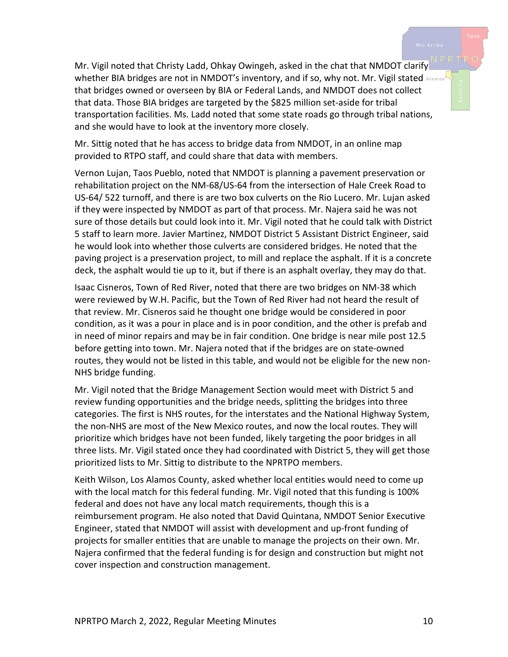Mr. Vigil noted that Christy Ladd, Ohkay Owingeh, asked in the chat that NMDOT clarify whether BIA bridges are not in NMDOT's inventory, and if so, why not. Mr. Vigil stated Alamos that bridges owned or overseen by BIA or Federal Lands, and NMDOT does not collect that data. Those BIA bridges are targeted by the \$825 million set-aside for tribal transportation facilities. Ms. Ladd noted that some state roads go through tribal nations, and she would have to look at the inventory more closely.

Mr. Sittig noted that he has access to bridge data from NMDOT, in an online map provided to RTPO staff, and could share that data with members.

Vernon Lujan, Taos Pueblo, noted that NMDOT is planning a pavement preservation or rehabilitation project on the NM-68/US-64 from the intersection of Hale Creek Road to US-64/ 522 turnoff, and there is are two box culverts on the Rio Lucero. Mr. Lujan asked if they were inspected by NMDOT as part of that process. Mr. Najera said he was not sure of those details but could look into it. Mr. Vigil noted that he could talk with District 5 staff to learn more. Javier Martinez, NMDOT District 5 Assistant District Engineer, said he would look into whether those culverts are considered bridges. He noted that the paving project is a preservation project, to mill and replace the asphalt. If it is a concrete deck, the asphalt would tie up to it, but if there is an asphalt overlay, they may do that.

Isaac Cisneros, Town of Red River, noted that there are two bridges on NM-38 which were reviewed by W.H. Pacific, but the Town of Red River had not heard the result of that review. Mr. Cisneros said he thought one bridge would be considered in poor condition, as it was a pour in place and is in poor condition, and the other is prefab and in need of minor repairs and may be in fair condition. One bridge is near mile post 12.5 before getting into town. Mr. Najera noted that if the bridges are on state-owned routes, they would not be listed in this table, and would not be eligible for the new non-NHS bridge funding.

Mr. Vigil noted that the Bridge Management Section would meet with District 5 and review funding opportunities and the bridge needs, splitting the bridges into three categories. The first is NHS routes, for the interstates and the National Highway System, the non-NHS are most of the New Mexico routes, and now the local routes. They will prioritize which bridges have not been funded, likely targeting the poor bridges in all three lists. Mr. Vigil stated once they had coordinated with District 5, they will get those prioritized lists to Mr. Sittig to distribute to the NPRTPO members.

Keith Wilson, Los Alamos County, asked whether local entities would need to come up with the local match for this federal funding. Mr. Vigil noted that this funding is 100% federal and does not have any local match requirements, though this is a reimbursement program. He also noted that David Quintana, NMDOT Senior Executive Engineer, stated that NMDOT will assist with development and up-front funding of projects for smaller entities that are unable to manage the projects on their own. Mr. Najera confirmed that the federal funding is for design and construction but might not cover inspection and construction management.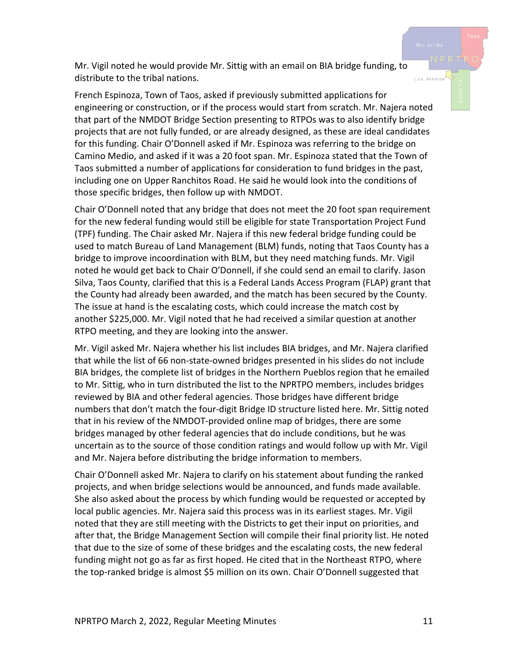Mr. Vigil noted he would provide Mr. Sittig with an email on BIA bridge funding, to distribute to the tribal nations.

French Espinoza, Town of Taos, asked if previously submitted applications for engineering or construction, or if the process would start from scratch. Mr. Najera noted that part of the NMDOT Bridge Section presenting to RTPOs was to also identify bridge projects that are not fully funded, or are already designed, as these are ideal candidates for this funding. Chair O'Donnell asked if Mr. Espinoza was referring to the bridge on Camino Medio, and asked if it was a 20 foot span. Mr. Espinoza stated that the Town of Taos submitted a number of applications for consideration to fund bridges in the past, including one on Upper Ranchitos Road. He said he would look into the conditions of those specific bridges, then follow up with NMDOT.

Chair O'Donnell noted that any bridge that does not meet the 20 foot span requirement for the new federal funding would still be eligible for state Transportation Project Fund (TPF) funding. The Chair asked Mr. Najera if this new federal bridge funding could be used to match Bureau of Land Management (BLM) funds, noting that Taos County has a bridge to improve incoordination with BLM, but they need matching funds. Mr. Vigil noted he would get back to Chair O'Donnell, if she could send an email to clarify. Jason Silva, Taos County, clarified that this is a Federal Lands Access Program (FLAP) grant that the County had already been awarded, and the match has been secured by the County. The issue at hand is the escalating costs, which could increase the match cost by another \$225,000. Mr. Vigil noted that he had received a similar question at another RTPO meeting, and they are looking into the answer.

Mr. Vigil asked Mr. Najera whether his list includes BIA bridges, and Mr. Najera clarified that while the list of 66 non-state-owned bridges presented in his slides do not include BIA bridges, the complete list of bridges in the Northern Pueblos region that he emailed to Mr. Sittig, who in turn distributed the list to the NPRTPO members, includes bridges reviewed by BIA and other federal agencies. Those bridges have different bridge numbers that don't match the four-digit Bridge ID structure listed here. Mr. Sittig noted that in his review of the NMDOT-provided online map of bridges, there are some bridges managed by other federal agencies that do include conditions, but he was uncertain as to the source of those condition ratings and would follow up with Mr. Vigil and Mr. Najera before distributing the bridge information to members.

Chair O'Donnell asked Mr. Najera to clarify on his statement about funding the ranked projects, and when bridge selections would be announced, and funds made available. She also asked about the process by which funding would be requested or accepted by local public agencies. Mr. Najera said this process was in its earliest stages. Mr. Vigil noted that they are still meeting with the Districts to get their input on priorities, and after that, the Bridge Management Section will compile their final priority list. He noted that due to the size of some of these bridges and the escalating costs, the new federal funding might not go as far as first hoped. He cited that in the Northeast RTPO, where the top-ranked bridge is almost \$5 million on its own. Chair O'Donnell suggested that

Los Alamo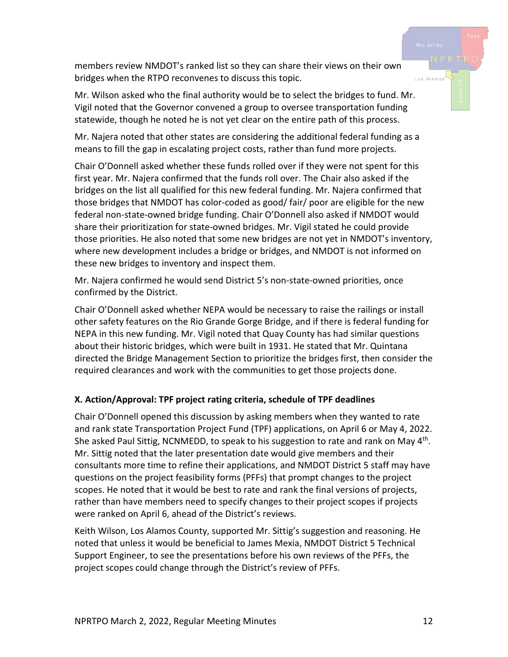members review NMDOT's ranked list so they can share their views on their own bridges when the RTPO reconvenes to discuss this topic.

Mr. Wilson asked who the final authority would be to select the bridges to fund. Mr. Vigil noted that the Governor convened a group to oversee transportation funding statewide, though he noted he is not yet clear on the entire path of this process.

Mr. Najera noted that other states are considering the additional federal funding as a means to fill the gap in escalating project costs, rather than fund more projects.

Chair O'Donnell asked whether these funds rolled over if they were not spent for this first year. Mr. Najera confirmed that the funds roll over. The Chair also asked if the bridges on the list all qualified for this new federal funding. Mr. Najera confirmed that those bridges that NMDOT has color-coded as good/ fair/ poor are eligible for the new federal non-state-owned bridge funding. Chair O'Donnell also asked if NMDOT would share their prioritization for state-owned bridges. Mr. Vigil stated he could provide those priorities. He also noted that some new bridges are not yet in NMDOT's inventory, where new development includes a bridge or bridges, and NMDOT is not informed on these new bridges to inventory and inspect them.

Mr. Najera confirmed he would send District 5's non-state-owned priorities, once confirmed by the District.

Chair O'Donnell asked whether NEPA would be necessary to raise the railings or install other safety features on the Rio Grande Gorge Bridge, and if there is federal funding for NEPA in this new funding. Mr. Vigil noted that Quay County has had similar questions about their historic bridges, which were built in 1931. He stated that Mr. Quintana directed the Bridge Management Section to prioritize the bridges first, then consider the required clearances and work with the communities to get those projects done.

## **X. Action/Approval: TPF project rating criteria, schedule of TPF deadlines**

Chair O'Donnell opened this discussion by asking members when they wanted to rate and rank state Transportation Project Fund (TPF) applications, on April 6 or May 4, 2022. She asked Paul Sittig, NCNMEDD, to speak to his suggestion to rate and rank on May  $4<sup>th</sup>$ . Mr. Sittig noted that the later presentation date would give members and their consultants more time to refine their applications, and NMDOT District 5 staff may have questions on the project feasibility forms (PFFs) that prompt changes to the project scopes. He noted that it would be best to rate and rank the final versions of projects, rather than have members need to specify changes to their project scopes if projects were ranked on April 6, ahead of the District's reviews.

Keith Wilson, Los Alamos County, supported Mr. Sittig's suggestion and reasoning. He noted that unless it would be beneficial to James Mexia, NMDOT District 5 Technical Support Engineer, to see the presentations before his own reviews of the PFFs, the project scopes could change through the District's review of PFFs.

Los Alamo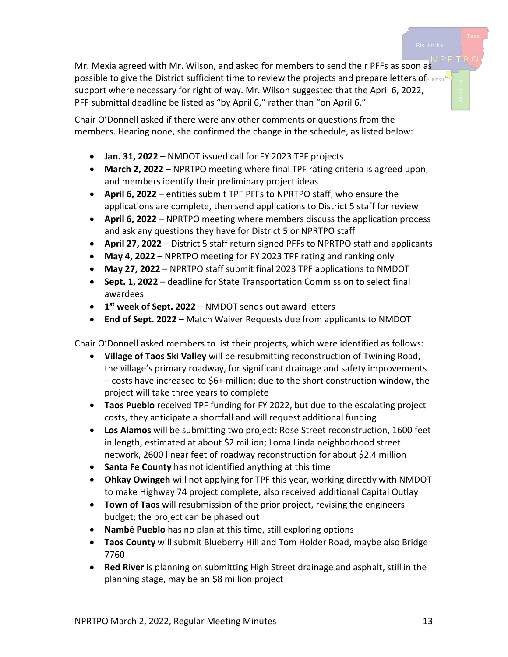Mr. Mexia agreed with Mr. Wilson, and asked for members to send their PFFs as soon as possible to give the District sufficient time to review the projects and prepare letters of Mannes' support where necessary for right of way. Mr. Wilson suggested that the April 6, 2022, PFF submittal deadline be listed as "by April 6," rather than "on April 6."

Chair O'Donnell asked if there were any other comments or questions from the members. Hearing none, she confirmed the change in the schedule, as listed below:

- **Jan. 31, 2022** NMDOT issued call for FY 2023 TPF projects
- **March 2, 2022** NPRTPO meeting where final TPF rating criteria is agreed upon, and members identify their preliminary project ideas
- **April 6, 2022** entities submit TPF PFFs to NPRTPO staff, who ensure the applications are complete, then send applications to District 5 staff for review
- **April 6, 2022** NPRTPO meeting where members discuss the application process and ask any questions they have for District 5 or NPRTPO staff
- **April 27, 2022** District 5 staff return signed PFFs to NPRTPO staff and applicants
- **May 4, 2022** NPRTPO meeting for FY 2023 TPF rating and ranking only
- **May 27, 2022** NPRTPO staff submit final 2023 TPF applications to NMDOT
- **Sept. 1, 2022** deadline for State Transportation Commission to select final awardees
- **1st week of Sept. 2022** NMDOT sends out award letters
- **End of Sept. 2022** Match Waiver Requests due from applicants to NMDOT

Chair O'Donnell asked members to list their projects, which were identified as follows:

- **Village of Taos Ski Valley** will be resubmitting reconstruction of Twining Road, the village's primary roadway, for significant drainage and safety improvements – costs have increased to \$6+ million; due to the short construction window, the project will take three years to complete
- **Taos Pueblo** received TPF funding for FY 2022, but due to the escalating project costs, they anticipate a shortfall and will request additional funding
- **Los Alamos** will be submitting two project: Rose Street reconstruction, 1600 feet in length, estimated at about \$2 million; Loma Linda neighborhood street network, 2600 linear feet of roadway reconstruction for about \$2.4 million
- **Santa Fe County** has not identified anything at this time
- **Ohkay Owingeh** will not applying for TPF this year, working directly with NMDOT to make Highway 74 project complete, also received additional Capital Outlay
- **Town of Taos** will resubmission of the prior project, revising the engineers budget; the project can be phased out
- **Nambé Pueblo** has no plan at this time, still exploring options
- **Taos County** will submit Blueberry Hill and Tom Holder Road, maybe also Bridge 7760
- **Red River** is planning on submitting High Street drainage and asphalt, still in the planning stage, may be an \$8 million project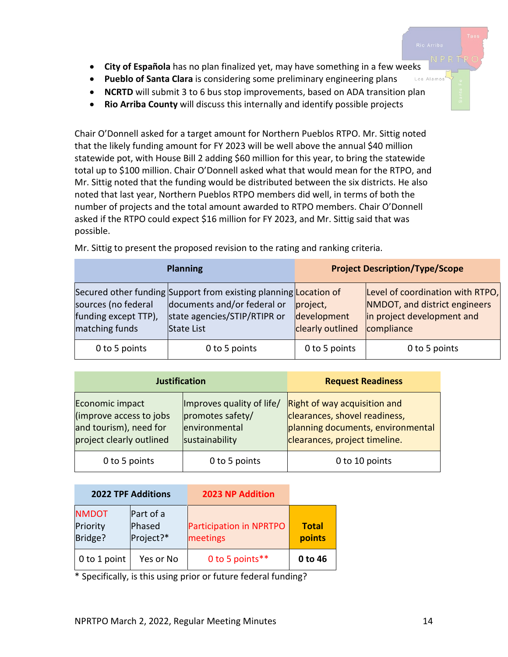- **City of Española** has no plan finalized yet, may have something in a few weeks
- **Pueblo of Santa Clara** is considering some preliminary engineering plans Los Alamos
- **NCRTD** will submit 3 to 6 bus stop improvements, based on ADA transition plan
- **Rio Arriba County** will discuss this internally and identify possible projects

Chair O'Donnell asked for a target amount for Northern Pueblos RTPO. Mr. Sittig noted that the likely funding amount for FY 2023 will be well above the annual \$40 million statewide pot, with House Bill 2 adding \$60 million for this year, to bring the statewide total up to \$100 million. Chair O'Donnell asked what that would mean for the RTPO, and Mr. Sittig noted that the funding would be distributed between the six districts. He also noted that last year, Northern Pueblos RTPO members did well, in terms of both the number of projects and the total amount awarded to RTPO members. Chair O'Donnell asked if the RTPO could expect \$16 million for FY 2023, and Mr. Sittig said that was possible.

|                                                               | <b>Planning</b>                                                                                                                                      | <b>Project Description/Type/Scope</b>       |                                                                                                               |  |
|---------------------------------------------------------------|------------------------------------------------------------------------------------------------------------------------------------------------------|---------------------------------------------|---------------------------------------------------------------------------------------------------------------|--|
| sources (no federal<br>funding except TTP),<br>matching funds | Secured other funding Support from existing planning Location of<br>documents and/or federal or<br>state agencies/STIP/RTIPR or<br><b>State List</b> | project,<br>development<br>clearly outlined | Level of coordination with RTPO,<br>NMDOT, and district engineers<br>in project development and<br>compliance |  |
| 0 to 5 points                                                 | 0 to 5 points                                                                                                                                        | 0 to 5 points                               | 0 to 5 points                                                                                                 |  |

Mr. Sittig to present the proposed revision to the rating and ranking criteria.

| <b>Justification</b>                                                                             |                                                                                  | <b>Request Readiness</b>                                                                                                            |  |
|--------------------------------------------------------------------------------------------------|----------------------------------------------------------------------------------|-------------------------------------------------------------------------------------------------------------------------------------|--|
| Economic impact<br>(improve access to jobs<br>and tourism), need for<br>project clearly outlined | Improves quality of life/<br>promotes safety/<br>environmental<br>sustainability | Right of way acquisition and<br>clearances, shovel readiness,<br>planning documents, environmental<br>clearances, project timeline. |  |
| 0 to 5 points                                                                                    | 0 to 5 points                                                                    | 0 to 10 points                                                                                                                      |  |

|                                     | <b>2022 TPF Additions</b>        | <b>2023 NP Addition</b>             |                        |
|-------------------------------------|----------------------------------|-------------------------------------|------------------------|
| <b>NMDOT</b><br>Priority<br>Bridge? | Part of a<br>Phased<br>Project?* | Participation in NPRTPO<br>meetings | <b>Total</b><br>points |
| 0 to 1 point                        | Yes or No                        | 0 to 5 points**                     | 0 to 46                |

\* Specifically, is this using prior or future federal funding?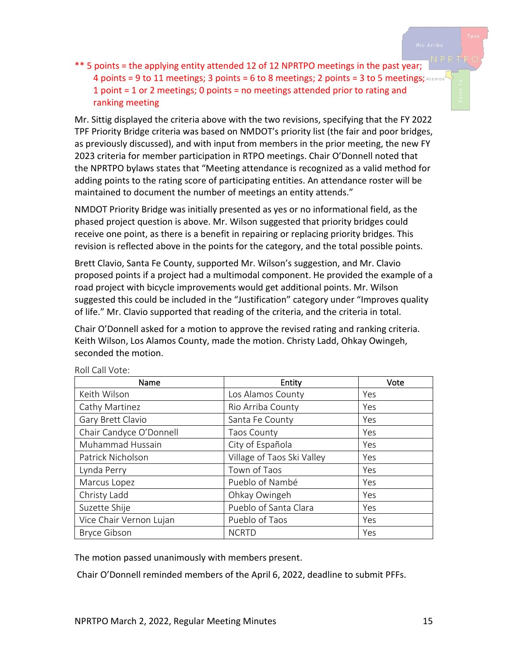\*\* 5 points = the applying entity attended 12 of 12 NPRTPO meetings in the past year; 4 points = 9 to 11 meetings; 3 points = 6 to 8 meetings; 2 points = 3 to 5 meetings; Alamos 1 point = 1 or 2 meetings; 0 points = no meetings attended prior to rating and ranking meeting

Mr. Sittig displayed the criteria above with the two revisions, specifying that the FY 2022 TPF Priority Bridge criteria was based on NMDOT's priority list (the fair and poor bridges, as previously discussed), and with input from members in the prior meeting, the new FY 2023 criteria for member participation in RTPO meetings. Chair O'Donnell noted that the NPRTPO bylaws states that "Meeting attendance is recognized as a valid method for adding points to the rating score of participating entities. An attendance roster will be maintained to document the number of meetings an entity attends."

NMDOT Priority Bridge was initially presented as yes or no informational field, as the phased project question is above. Mr. Wilson suggested that priority bridges could receive one point, as there is a benefit in repairing or replacing priority bridges. This revision is reflected above in the points for the category, and the total possible points.

Brett Clavio, Santa Fe County, supported Mr. Wilson's suggestion, and Mr. Clavio proposed points if a project had a multimodal component. He provided the example of a road project with bicycle improvements would get additional points. Mr. Wilson suggested this could be included in the "Justification" category under "Improves quality of life." Mr. Clavio supported that reading of the criteria, and the criteria in total.

Chair O'Donnell asked for a motion to approve the revised rating and ranking criteria. Keith Wilson, Los Alamos County, made the motion. Christy Ladd, Ohkay Owingeh, seconded the motion.

| Name                    | Entity                     | Vote |
|-------------------------|----------------------------|------|
| Keith Wilson            | Los Alamos County          | Yes  |
| Cathy Martinez          | Rio Arriba County          | Yes  |
| Gary Brett Clavio       | Santa Fe County            | Yes  |
| Chair Candyce O'Donnell | <b>Taos County</b>         | Yes  |
| Muhammad Hussain        | City of Española           | Yes  |
| Patrick Nicholson       | Village of Taos Ski Valley | Yes  |
| Lynda Perry             | Town of Taos               | Yes  |
| Marcus Lopez            | Pueblo of Nambé            | Yes  |
| Christy Ladd            | Ohkay Owingeh              | Yes  |
| Suzette Shije           | Pueblo of Santa Clara      | Yes  |
| Vice Chair Vernon Lujan | Pueblo of Taos             | Yes  |
| <b>Bryce Gibson</b>     | <b>NCRTD</b>               | Yes  |

Roll Call Vote:

The motion passed unanimously with members present.

Chair O'Donnell reminded members of the April 6, 2022, deadline to submit PFFs.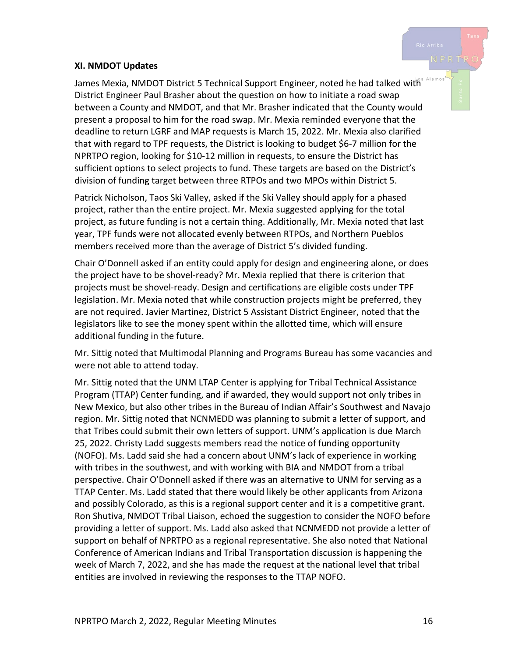#### **XI. NMDOT Updates**

Alamos James Mexia, NMDOT District 5 Technical Support Engineer, noted he had talked with District Engineer Paul Brasher about the question on how to initiate a road swap between a County and NMDOT, and that Mr. Brasher indicated that the County would present a proposal to him for the road swap. Mr. Mexia reminded everyone that the deadline to return LGRF and MAP requests is March 15, 2022. Mr. Mexia also clarified that with regard to TPF requests, the District is looking to budget \$6-7 million for the NPRTPO region, looking for \$10-12 million in requests, to ensure the District has sufficient options to select projects to fund. These targets are based on the District's division of funding target between three RTPOs and two MPOs within District 5.

Patrick Nicholson, Taos Ski Valley, asked if the Ski Valley should apply for a phased project, rather than the entire project. Mr. Mexia suggested applying for the total project, as future funding is not a certain thing. Additionally, Mr. Mexia noted that last year, TPF funds were not allocated evenly between RTPOs, and Northern Pueblos members received more than the average of District 5's divided funding.

Chair O'Donnell asked if an entity could apply for design and engineering alone, or does the project have to be shovel-ready? Mr. Mexia replied that there is criterion that projects must be shovel-ready. Design and certifications are eligible costs under TPF legislation. Mr. Mexia noted that while construction projects might be preferred, they are not required. Javier Martinez, District 5 Assistant District Engineer, noted that the legislators like to see the money spent within the allotted time, which will ensure additional funding in the future.

Mr. Sittig noted that Multimodal Planning and Programs Bureau has some vacancies and were not able to attend today.

Mr. Sittig noted that the UNM LTAP Center is applying for Tribal Technical Assistance Program (TTAP) Center funding, and if awarded, they would support not only tribes in New Mexico, but also other tribes in the Bureau of Indian Affair's Southwest and Navajo region. Mr. Sittig noted that NCNMEDD was planning to submit a letter of support, and that Tribes could submit their own letters of support. UNM's application is due March 25, 2022. Christy Ladd suggests members read the notice of funding opportunity (NOFO). Ms. Ladd said she had a concern about UNM's lack of experience in working with tribes in the southwest, and with working with BIA and NMDOT from a tribal perspective. Chair O'Donnell asked if there was an alternative to UNM for serving as a TTAP Center. Ms. Ladd stated that there would likely be other applicants from Arizona and possibly Colorado, as this is a regional support center and it is a competitive grant. Ron Shutiva, NMDOT Tribal Liaison, echoed the suggestion to consider the NOFO before providing a letter of support. Ms. Ladd also asked that NCNMEDD not provide a letter of support on behalf of NPRTPO as a regional representative. She also noted that National Conference of American Indians and Tribal Transportation discussion is happening the week of March 7, 2022, and she has made the request at the national level that tribal entities are involved in reviewing the responses to the TTAP NOFO.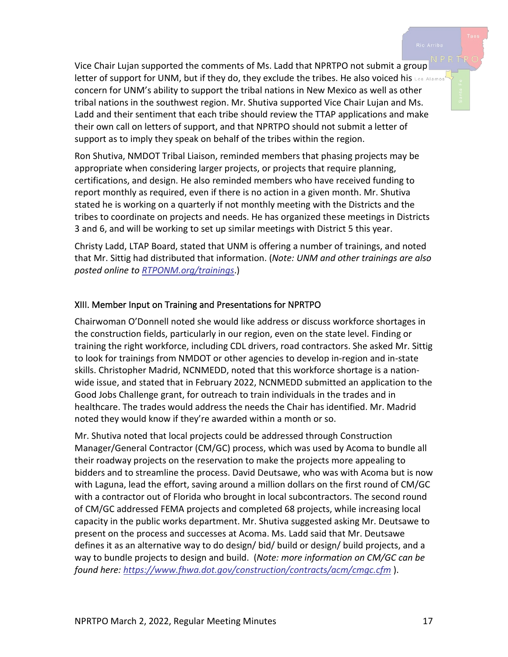Vice Chair Lujan supported the comments of Ms. Ladd that NPRTPO not submit a group letter of support for UNM, but if they do, they exclude the tribes. He also voiced his Los Alamos concern for UNM's ability to support the tribal nations in New Mexico as well as other tribal nations in the southwest region. Mr. Shutiva supported Vice Chair Lujan and Ms. Ladd and their sentiment that each tribe should review the TTAP applications and make their own call on letters of support, and that NPRTPO should not submit a letter of support as to imply they speak on behalf of the tribes within the region.

Ron Shutiva, NMDOT Tribal Liaison, reminded members that phasing projects may be appropriate when considering larger projects, or projects that require planning, certifications, and design. He also reminded members who have received funding to report monthly as required, even if there is no action in a given month. Mr. Shutiva stated he is working on a quarterly if not monthly meeting with the Districts and the tribes to coordinate on projects and needs. He has organized these meetings in Districts 3 and 6, and will be working to set up similar meetings with District 5 this year.

Christy Ladd, LTAP Board, stated that UNM is offering a number of trainings, and noted that Mr. Sittig had distributed that information. (*Note: UNM and other trainings are also posted online to [RTPONM.org/trainings](https://www.rtponm.org/trainings)*.)

#### XIII. Member Input on Training and Presentations for NPRTPO

Chairwoman O'Donnell noted she would like address or discuss workforce shortages in the construction fields, particularly in our region, even on the state level. Finding or training the right workforce, including CDL drivers, road contractors. She asked Mr. Sittig to look for trainings from NMDOT or other agencies to develop in-region and in-state skills. Christopher Madrid, NCNMEDD, noted that this workforce shortage is a nationwide issue, and stated that in February 2022, NCNMEDD submitted an application to the Good Jobs Challenge grant, for outreach to train individuals in the trades and in healthcare. The trades would address the needs the Chair has identified. Mr. Madrid noted they would know if they're awarded within a month or so.

Mr. Shutiva noted that local projects could be addressed through Construction Manager/General Contractor (CM/GC) process, which was used by Acoma to bundle all their roadway projects on the reservation to make the projects more appealing to bidders and to streamline the process. David Deutsawe, who was with Acoma but is now with Laguna, lead the effort, saving around a million dollars on the first round of CM/GC with a contractor out of Florida who brought in local subcontractors. The second round of CM/GC addressed FEMA projects and completed 68 projects, while increasing local capacity in the public works department. Mr. Shutiva suggested asking Mr. Deutsawe to present on the process and successes at Acoma. Ms. Ladd said that Mr. Deutsawe defines it as an alternative way to do design/ bid/ build or design/ build projects, and a way to bundle projects to design and build. (*Note: more information on CM/GC can be found here:<https://www.fhwa.dot.gov/construction/contracts/acm/cmgc.cfm>* ).